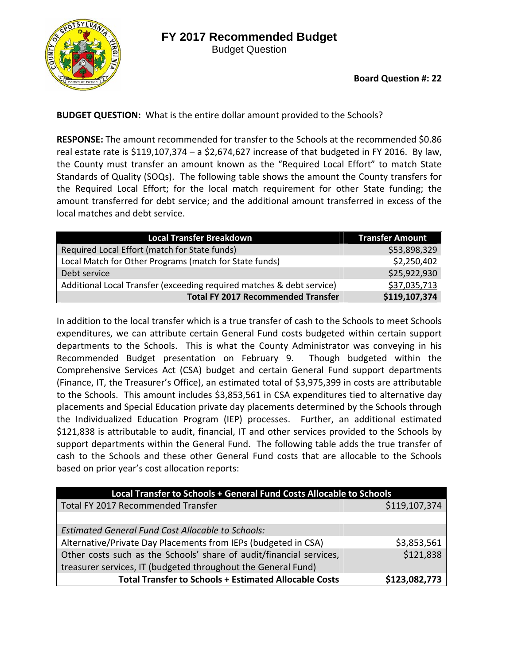



**Board Question #: 22**

**BUDGET QUESTION:** What is the entire dollar amount provided to the Schools?

**RESPONSE:** The amount recommended for transfer to the Schools at the recommended \$0.86 real estate rate is  $$119,107,374 - a $2,674,627$  increase of that budgeted in FY 2016. By law, the County must transfer an amount known as the "Required Local Effort" to match State Standards of Quality (SOQs). The following table shows the amount the County transfers for the Required Local Effort; for the local match requirement for other State funding; the amount transferred for debt service; and the additional amount transferred in excess of the local matches and debt service.

| <b>Local Transfer Breakdown</b>                                       | <b>Transfer Amount</b> |
|-----------------------------------------------------------------------|------------------------|
| Required Local Effort (match for State funds)                         | \$53,898,329           |
| Local Match for Other Programs (match for State funds)                | \$2,250,402            |
| Debt service                                                          | \$25,922,930           |
| Additional Local Transfer (exceeding required matches & debt service) | \$37,035,713           |
| <b>Total FY 2017 Recommended Transfer</b>                             | \$119,107,374          |

In addition to the local transfer which is a true transfer of cash to the Schools to meet Schools expenditures, we can attribute certain General Fund costs budgeted within certain support departments to the Schools. This is what the County Administrator was conveying in his Recommended Budget presentation on February 9. Though budgeted within the Comprehensive Services Act (CSA) budget and certain General Fund support departments (Finance, IT, the Treasurer's Office), an estimated total of \$3,975,399 in costs are attributable to the Schools. This amount includes \$3,853,561 in CSA expenditures tied to alternative day placements and Special Education private day placements determined by the Schools through the Individualized Education Program (IEP) processes. Further, an additional estimated \$121,838 is attributable to audit, financial, IT and other services provided to the Schools by support departments within the General Fund. The following table adds the true transfer of cash to the Schools and these other General Fund costs that are allocable to the Schools based on prior year's cost allocation reports:

| Local Transfer to Schools + General Fund Costs Allocable to Schools |               |
|---------------------------------------------------------------------|---------------|
| Total FY 2017 Recommended Transfer                                  | \$119,107,374 |
|                                                                     |               |
| <b>Estimated General Fund Cost Allocable to Schools:</b>            |               |
| Alternative/Private Day Placements from IEPs (budgeted in CSA)      | \$3,853,561   |
| Other costs such as the Schools' share of audit/financial services, | \$121,838     |
| treasurer services, IT (budgeted throughout the General Fund)       |               |
| <b>Total Transfer to Schools + Estimated Allocable Costs</b>        | \$123,082,773 |